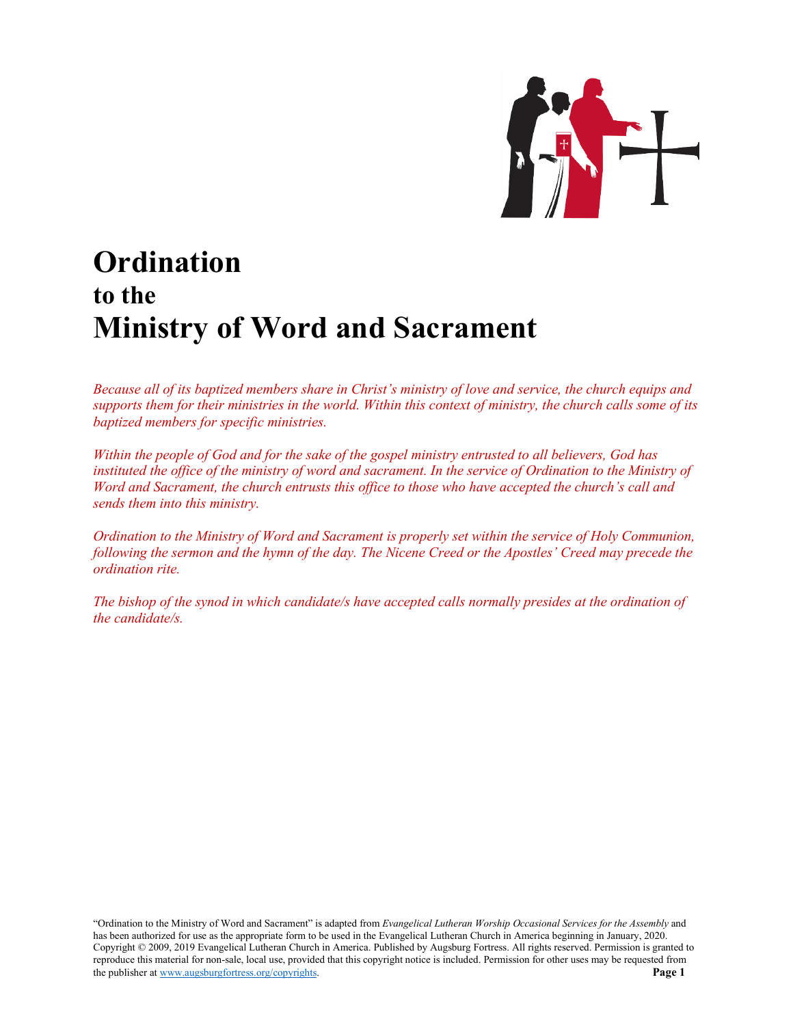

# **Ordination to the Ministry of Word and Sacrament**

*Because all of its baptized members share in Christ's ministry of love and service, the church equips and supports them for their ministries in the world. Within this context of ministry, the church calls some of its baptized members for specific ministries.*

*Within the people of God and for the sake of the gospel ministry entrusted to all believers, God has instituted the office of the ministry of word and sacrament. In the service of Ordination to the Ministry of Word and Sacrament, the church entrusts this office to those who have accepted the church's call and sends them into this ministry.* 

*Ordination to the Ministry of Word and Sacrament is properly set within the service of Holy Communion, following the sermon and the hymn of the day. The Nicene Creed or the Apostles' Creed may precede the ordination rite.*

*The bishop of the synod in which candidate/s have accepted calls normally presides at the ordination of the candidate/s.*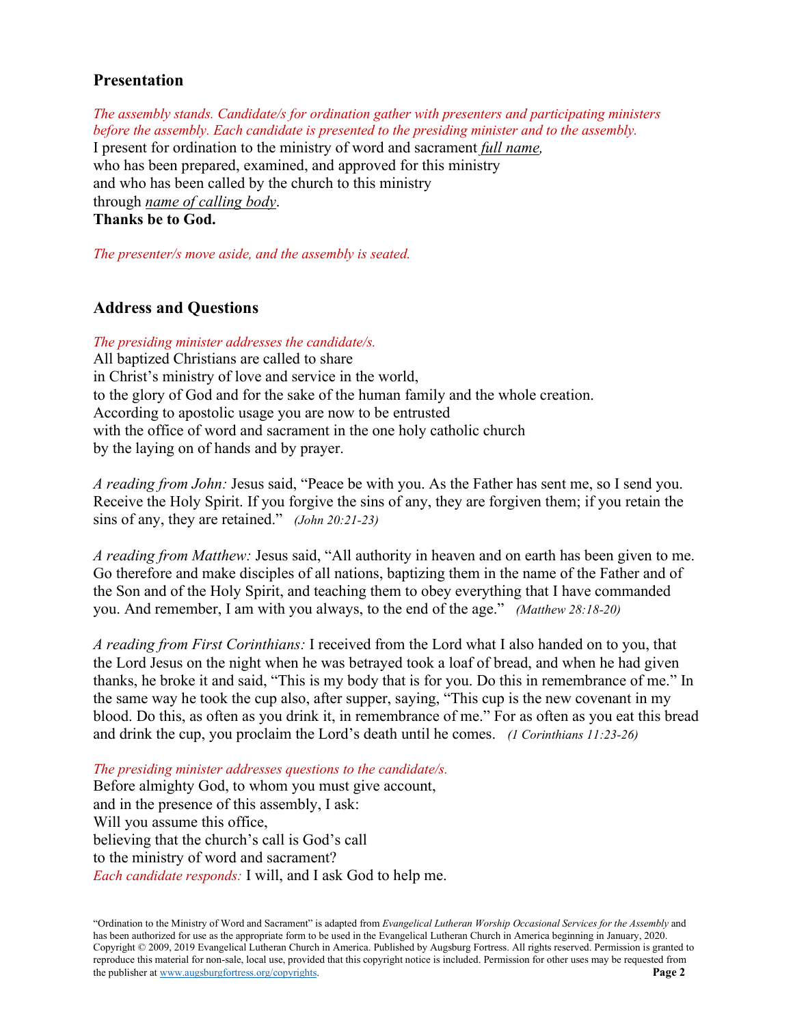# **Presentation**

*The assembly stands. Candidate/s for ordination gather with presenters and participating ministers before the assembly. Each candidate is presented to the presiding minister and to the assembly.* I present for ordination to the ministry of word and sacrament *full name,* who has been prepared, examined, and approved for this ministry and who has been called by the church to this ministry through *name of calling body*. **Thanks be to God.**

*The presenter/s move aside, and the assembly is seated.*

# **Address and Questions**

*The presiding minister addresses the candidate/s.*

All baptized Christians are called to share in Christ's ministry of love and service in the world, to the glory of God and for the sake of the human family and the whole creation. According to apostolic usage you are now to be entrusted with the office of word and sacrament in the one holy catholic church by the laying on of hands and by prayer.

*A reading from John:* Jesus said, "Peace be with you. As the Father has sent me, so I send you. Receive the Holy Spirit. If you forgive the sins of any, they are forgiven them; if you retain the sins of any, they are retained." *(John 20:21-23)*

*A reading from Matthew:* Jesus said, "All authority in heaven and on earth has been given to me. Go therefore and make disciples of all nations, baptizing them in the name of the Father and of the Son and of the Holy Spirit, and teaching them to obey everything that I have commanded you. And remember, I am with you always, to the end of the age." *(Matthew 28:18-20)*

*A reading from First Corinthians:* I received from the Lord what I also handed on to you, that the Lord Jesus on the night when he was betrayed took a loaf of bread, and when he had given thanks, he broke it and said, "This is my body that is for you. Do this in remembrance of me." In the same way he took the cup also, after supper, saying, "This cup is the new covenant in my blood. Do this, as often as you drink it, in remembrance of me." For as often as you eat this bread and drink the cup, you proclaim the Lord's death until he comes. *(1 Corinthians 11:23-26)*

*The presiding minister addresses questions to the candidate/s.* Before almighty God, to whom you must give account, and in the presence of this assembly, I ask: Will you assume this office, believing that the church's call is God's call to the ministry of word and sacrament? *Each candidate responds:* I will, and I ask God to help me.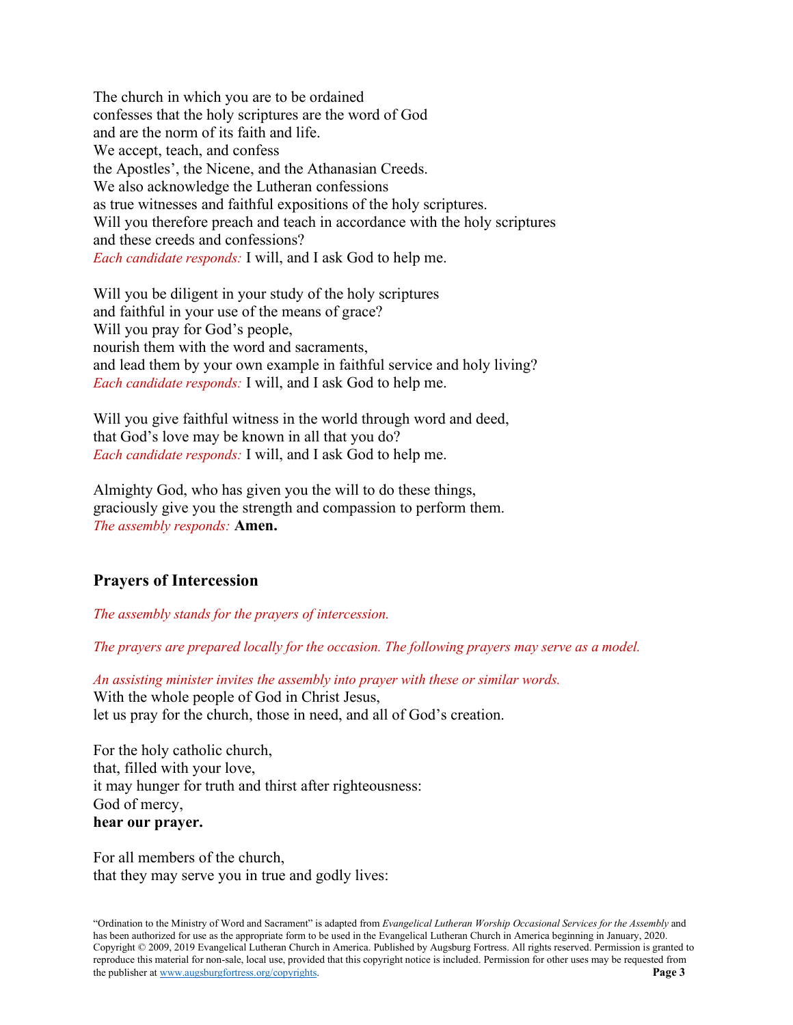The church in which you are to be ordained confesses that the holy scriptures are the word of God and are the norm of its faith and life. We accept, teach, and confess the Apostles', the Nicene, and the Athanasian Creeds. We also acknowledge the Lutheran confessions as true witnesses and faithful expositions of the holy scriptures. Will you therefore preach and teach in accordance with the holy scriptures and these creeds and confessions? *Each candidate responds:* I will, and I ask God to help me.

Will you be diligent in your study of the holy scriptures and faithful in your use of the means of grace? Will you pray for God's people, nourish them with the word and sacraments, and lead them by your own example in faithful service and holy living? *Each candidate responds:* I will, and I ask God to help me.

Will you give faithful witness in the world through word and deed, that God's love may be known in all that you do? *Each candidate responds:* I will, and I ask God to help me.

Almighty God, who has given you the will to do these things, graciously give you the strength and compassion to perform them. *The assembly responds:* **Amen.**

# **Prayers of Intercession**

*The assembly stands for the prayers of intercession.* 

*The prayers are prepared locally for the occasion. The following prayers may serve as a model.* 

*An assisting minister invites the assembly into prayer with these or similar words.* With the whole people of God in Christ Jesus, let us pray for the church, those in need, and all of God's creation.

For the holy catholic church, that, filled with your love, it may hunger for truth and thirst after righteousness: God of mercy, **hear our prayer.**

For all members of the church, that they may serve you in true and godly lives: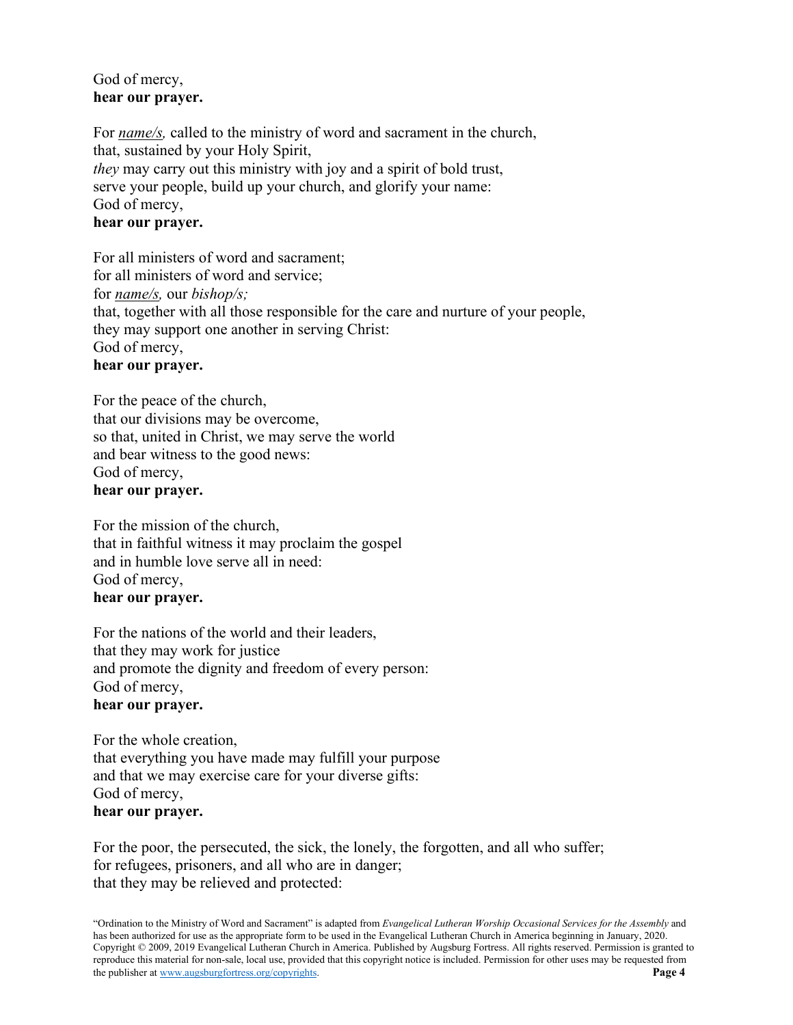# God of mercy, **hear our prayer.**

For *name/s,* called to the ministry of word and sacrament in the church, that, sustained by your Holy Spirit, *they* may carry out this ministry with joy and a spirit of bold trust, serve your people, build up your church, and glorify your name: God of mercy, **hear our prayer.**

For all ministers of word and sacrament; for all ministers of word and service; for *name/s,* our *bishop/s;* that, together with all those responsible for the care and nurture of your people, they may support one another in serving Christ: God of mercy, **hear our prayer.**

For the peace of the church, that our divisions may be overcome, so that, united in Christ, we may serve the world and bear witness to the good news: God of mercy, **hear our prayer.**

For the mission of the church, that in faithful witness it may proclaim the gospel and in humble love serve all in need: God of mercy, **hear our prayer.**

For the nations of the world and their leaders, that they may work for justice and promote the dignity and freedom of every person: God of mercy,

# **hear our prayer.**

For the whole creation, that everything you have made may fulfill your purpose and that we may exercise care for your diverse gifts: God of mercy, **hear our prayer.**

For the poor, the persecuted, the sick, the lonely, the forgotten, and all who suffer; for refugees, prisoners, and all who are in danger; that they may be relieved and protected: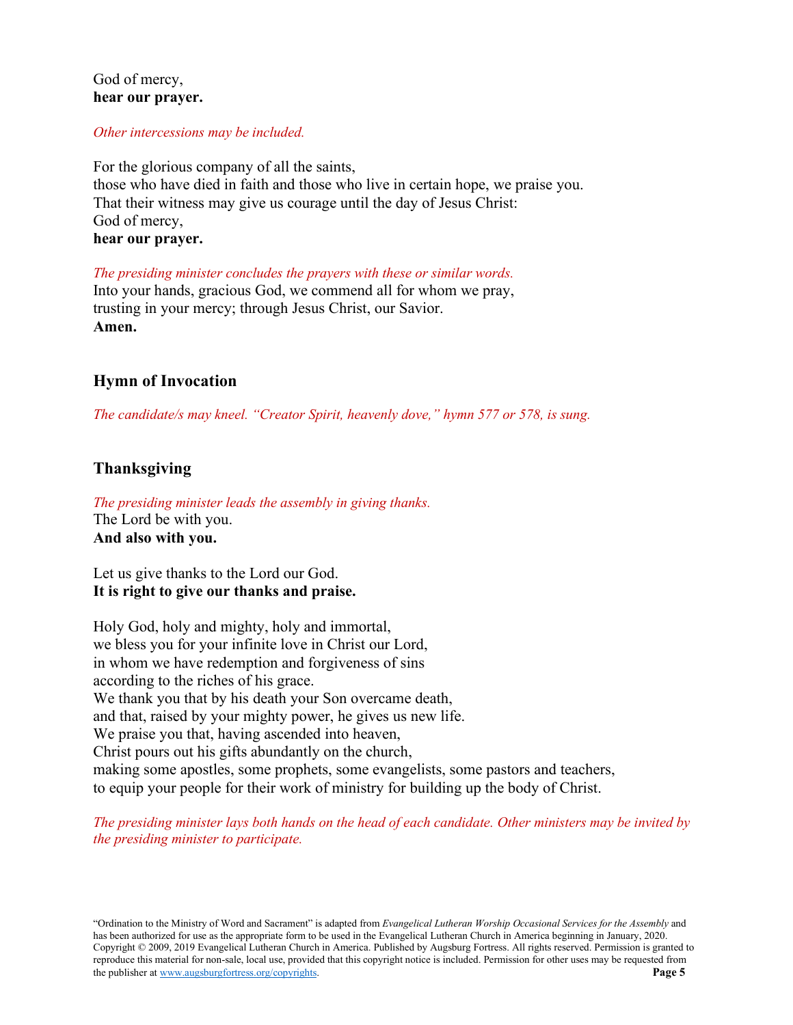# God of mercy, **hear our prayer.**

### *Other intercessions may be included.*

For the glorious company of all the saints, those who have died in faith and those who live in certain hope, we praise you. That their witness may give us courage until the day of Jesus Christ: God of mercy, **hear our prayer.**

*The presiding minister concludes the prayers with these or similar words.* Into your hands, gracious God, we commend all for whom we pray, trusting in your mercy; through Jesus Christ, our Savior. **Amen.**

# **Hymn of Invocation**

*The candidate/s may kneel. "Creator Spirit, heavenly dove," hymn 577 or 578, is sung.*

# **Thanksgiving**

*The presiding minister leads the assembly in giving thanks.* The Lord be with you. **And also with you.**

Let us give thanks to the Lord our God. **It is right to give our thanks and praise.**

Holy God, holy and mighty, holy and immortal, we bless you for your infinite love in Christ our Lord, in whom we have redemption and forgiveness of sins according to the riches of his grace. We thank you that by his death your Son overcame death, and that, raised by your mighty power, he gives us new life. We praise you that, having ascended into heaven, Christ pours out his gifts abundantly on the church, making some apostles, some prophets, some evangelists, some pastors and teachers, to equip your people for their work of ministry for building up the body of Christ.

*The presiding minister lays both hands on the head of each candidate. Other ministers may be invited by the presiding minister to participate.*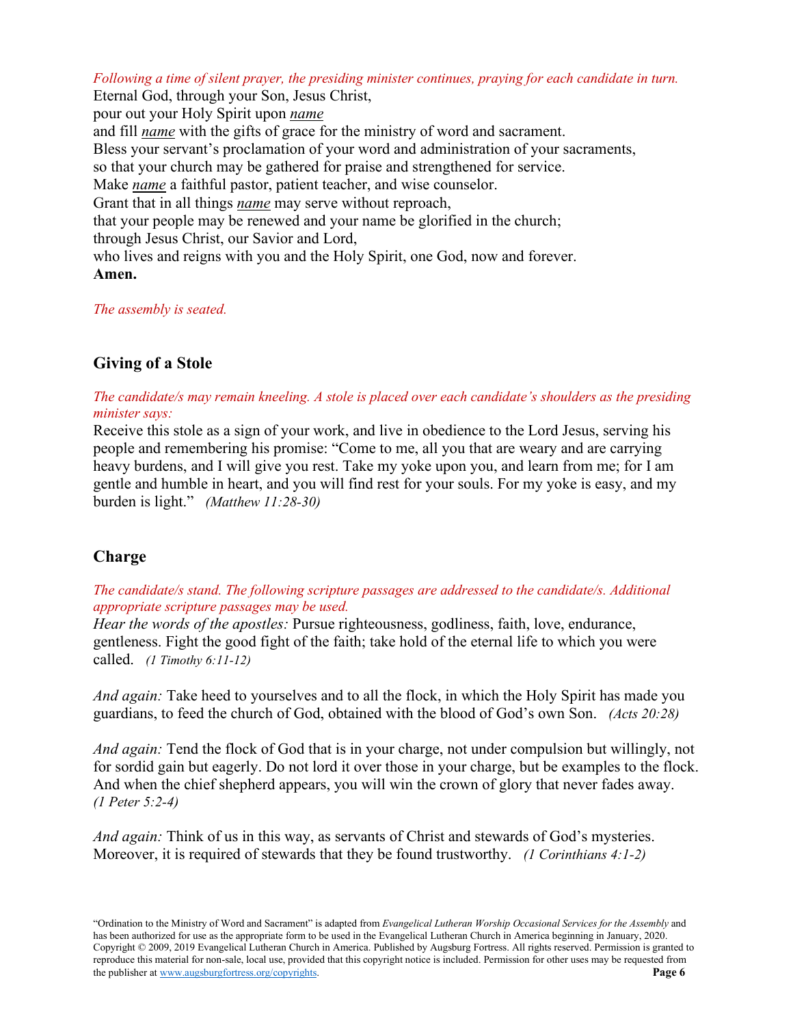*Following a time of silent prayer, the presiding minister continues, praying for each candidate in turn.* 

Eternal God, through your Son, Jesus Christ, pour out your Holy Spirit upon *name* and fill *name* with the gifts of grace for the ministry of word and sacrament. Bless your servant's proclamation of your word and administration of your sacraments, so that your church may be gathered for praise and strengthened for service. Make *name* a faithful pastor, patient teacher, and wise counselor. Grant that in all things *name* may serve without reproach, that your people may be renewed and your name be glorified in the church; through Jesus Christ, our Savior and Lord, who lives and reigns with you and the Holy Spirit, one God, now and forever. **Amen.**

*The assembly is seated.*

# **Giving of a Stole**

*The candidate/s may remain kneeling. A stole is placed over each candidate's shoulders as the presiding minister says:*

Receive this stole as a sign of your work, and live in obedience to the Lord Jesus, serving his people and remembering his promise: "Come to me, all you that are weary and are carrying heavy burdens, and I will give you rest. Take my yoke upon you, and learn from me; for I am gentle and humble in heart, and you will find rest for your souls. For my yoke is easy, and my burden is light." *(Matthew 11:28-30)*

# **Charge**

*The candidate/s stand. The following scripture passages are addressed to the candidate/s. Additional appropriate scripture passages may be used.*

*Hear the words of the apostles:* Pursue righteousness, godliness, faith, love, endurance, gentleness. Fight the good fight of the faith; take hold of the eternal life to which you were called. *(1 Timothy 6:11-12)*

*And again:* Take heed to yourselves and to all the flock, in which the Holy Spirit has made you guardians, to feed the church of God, obtained with the blood of God's own Son. *(Acts 20:28)*

*And again:* Tend the flock of God that is in your charge, not under compulsion but willingly, not for sordid gain but eagerly. Do not lord it over those in your charge, but be examples to the flock. And when the chief shepherd appears, you will win the crown of glory that never fades away. *(1 Peter 5:2-4)*

*And again:* Think of us in this way, as servants of Christ and stewards of God's mysteries. Moreover, it is required of stewards that they be found trustworthy. *(1 Corinthians 4:1-2)*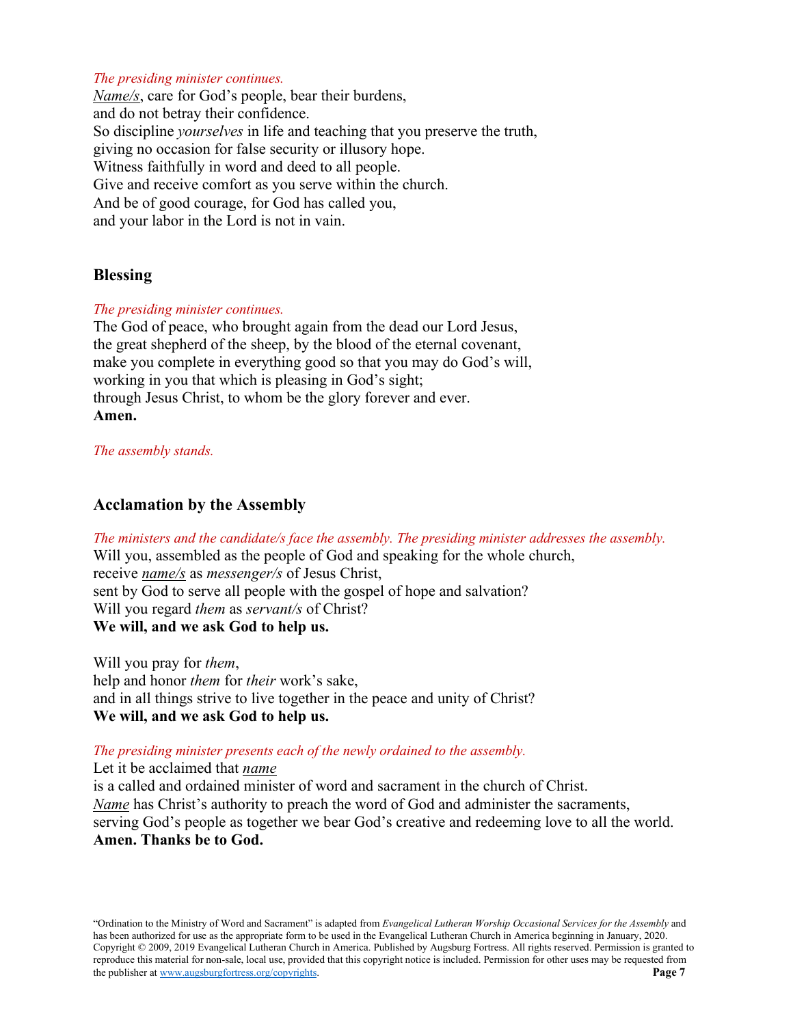### *The presiding minister continues.*

*Name/s*, care for God's people, bear their burdens, and do not betray their confidence. So discipline *yourselves* in life and teaching that you preserve the truth, giving no occasion for false security or illusory hope. Witness faithfully in word and deed to all people. Give and receive comfort as you serve within the church. And be of good courage, for God has called you, and your labor in the Lord is not in vain.

### **Blessing**

### *The presiding minister continues.*

The God of peace, who brought again from the dead our Lord Jesus, the great shepherd of the sheep, by the blood of the eternal covenant, make you complete in everything good so that you may do God's will, working in you that which is pleasing in God's sight; through Jesus Christ, to whom be the glory forever and ever. **Amen.**

### *The assembly stands.*

# **Acclamation by the Assembly**

*The ministers and the candidate/s face the assembly. The presiding minister addresses the assembly.* Will you, assembled as the people of God and speaking for the whole church, receive *name/s* as *messenger/s* of Jesus Christ, sent by God to serve all people with the gospel of hope and salvation? Will you regard *them* as *servant/s* of Christ? **We will, and we ask God to help us.**

Will you pray for *them*, help and honor *them* for *their* work's sake, and in all things strive to live together in the peace and unity of Christ? **We will, and we ask God to help us.**

### *The presiding minister presents each of the newly ordained to the assembly.*

Let it be acclaimed that *name*

is a called and ordained minister of word and sacrament in the church of Christ. *Name* has Christ's authority to preach the word of God and administer the sacraments, serving God's people as together we bear God's creative and redeeming love to all the world. **Amen. Thanks be to God.**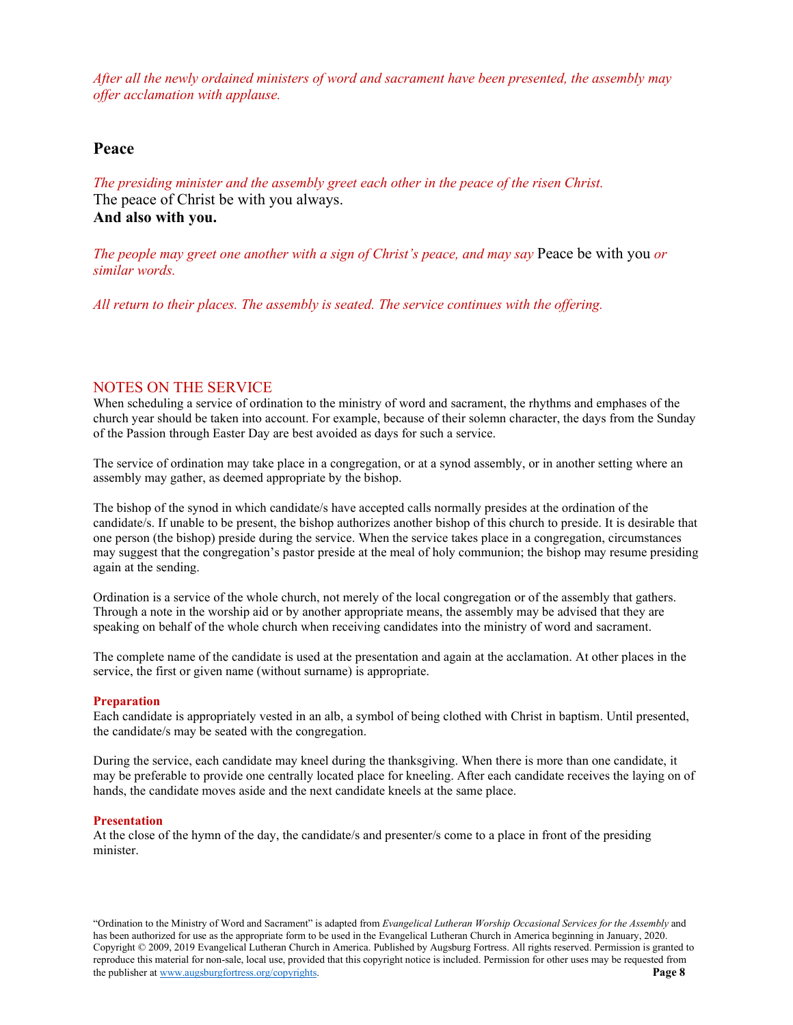*After all the newly ordained ministers of word and sacrament have been presented, the assembly may offer acclamation with applause.*

### **Peace**

*The presiding minister and the assembly greet each other in the peace of the risen Christ.* The peace of Christ be with you always. **And also with you.**

*The people may greet one another with a sign of Christ's peace, and may say* Peace be with you *or similar words.*

*All return to their places. The assembly is seated. The service continues with the offering.*

### NOTES ON THE SERVICE

When scheduling a service of ordination to the ministry of word and sacrament, the rhythms and emphases of the church year should be taken into account. For example, because of their solemn character, the days from the Sunday of the Passion through Easter Day are best avoided as days for such a service.

The service of ordination may take place in a congregation, or at a synod assembly, or in another setting where an assembly may gather, as deemed appropriate by the bishop.

The bishop of the synod in which candidate/s have accepted calls normally presides at the ordination of the candidate/s. If unable to be present, the bishop authorizes another bishop of this church to preside. It is desirable that one person (the bishop) preside during the service. When the service takes place in a congregation, circumstances may suggest that the congregation's pastor preside at the meal of holy communion; the bishop may resume presiding again at the sending.

Ordination is a service of the whole church, not merely of the local congregation or of the assembly that gathers. Through a note in the worship aid or by another appropriate means, the assembly may be advised that they are speaking on behalf of the whole church when receiving candidates into the ministry of word and sacrament.

The complete name of the candidate is used at the presentation and again at the acclamation. At other places in the service, the first or given name (without surname) is appropriate.

#### **Preparation**

Each candidate is appropriately vested in an alb, a symbol of being clothed with Christ in baptism. Until presented, the candidate/s may be seated with the congregation.

During the service, each candidate may kneel during the thanksgiving. When there is more than one candidate, it may be preferable to provide one centrally located place for kneeling. After each candidate receives the laying on of hands, the candidate moves aside and the next candidate kneels at the same place.

#### **Presentation**

At the close of the hymn of the day, the candidate/s and presenter/s come to a place in front of the presiding minister.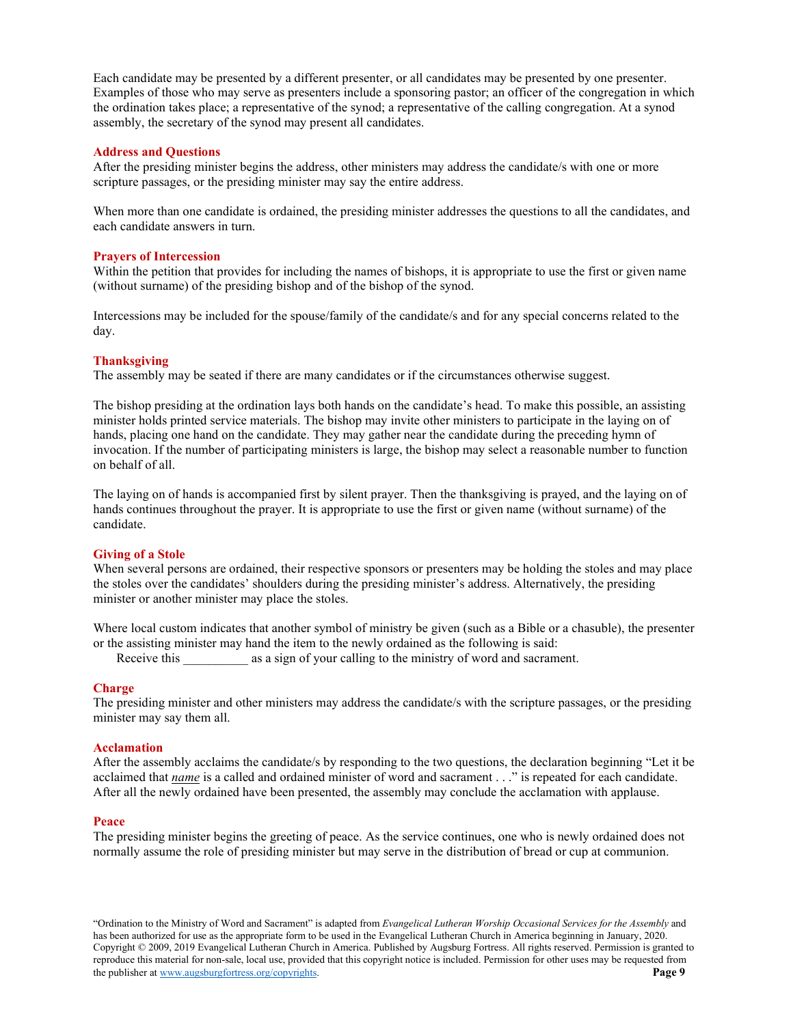Each candidate may be presented by a different presenter, or all candidates may be presented by one presenter. Examples of those who may serve as presenters include a sponsoring pastor; an officer of the congregation in which the ordination takes place; a representative of the synod; a representative of the calling congregation. At a synod assembly, the secretary of the synod may present all candidates.

#### **Address and Questions**

After the presiding minister begins the address, other ministers may address the candidate/s with one or more scripture passages, or the presiding minister may say the entire address.

When more than one candidate is ordained, the presiding minister addresses the questions to all the candidates, and each candidate answers in turn.

#### **Prayers of Intercession**

Within the petition that provides for including the names of bishops, it is appropriate to use the first or given name (without surname) of the presiding bishop and of the bishop of the synod.

Intercessions may be included for the spouse/family of the candidate/s and for any special concerns related to the day.

#### **Thanksgiving**

The assembly may be seated if there are many candidates or if the circumstances otherwise suggest.

The bishop presiding at the ordination lays both hands on the candidate's head. To make this possible, an assisting minister holds printed service materials. The bishop may invite other ministers to participate in the laying on of hands, placing one hand on the candidate. They may gather near the candidate during the preceding hymn of invocation. If the number of participating ministers is large, the bishop may select a reasonable number to function on behalf of all.

The laying on of hands is accompanied first by silent prayer. Then the thanksgiving is prayed, and the laying on of hands continues throughout the prayer. It is appropriate to use the first or given name (without surname) of the candidate.

#### **Giving of a Stole**

When several persons are ordained, their respective sponsors or presenters may be holding the stoles and may place the stoles over the candidates' shoulders during the presiding minister's address. Alternatively, the presiding minister or another minister may place the stoles.

Where local custom indicates that another symbol of ministry be given (such as a Bible or a chasuble), the presenter or the assisting minister may hand the item to the newly ordained as the following is said:

Receive this \_\_\_\_\_\_\_\_\_\_ as a sign of your calling to the ministry of word and sacrament.

#### **Charge**

The presiding minister and other ministers may address the candidate/s with the scripture passages, or the presiding minister may say them all.

#### **Acclamation**

After the assembly acclaims the candidate/s by responding to the two questions, the declaration beginning "Let it be acclaimed that *name* is a called and ordained minister of word and sacrament . . ." is repeated for each candidate. After all the newly ordained have been presented, the assembly may conclude the acclamation with applause.

#### **Peace**

The presiding minister begins the greeting of peace. As the service continues, one who is newly ordained does not normally assume the role of presiding minister but may serve in the distribution of bread or cup at communion.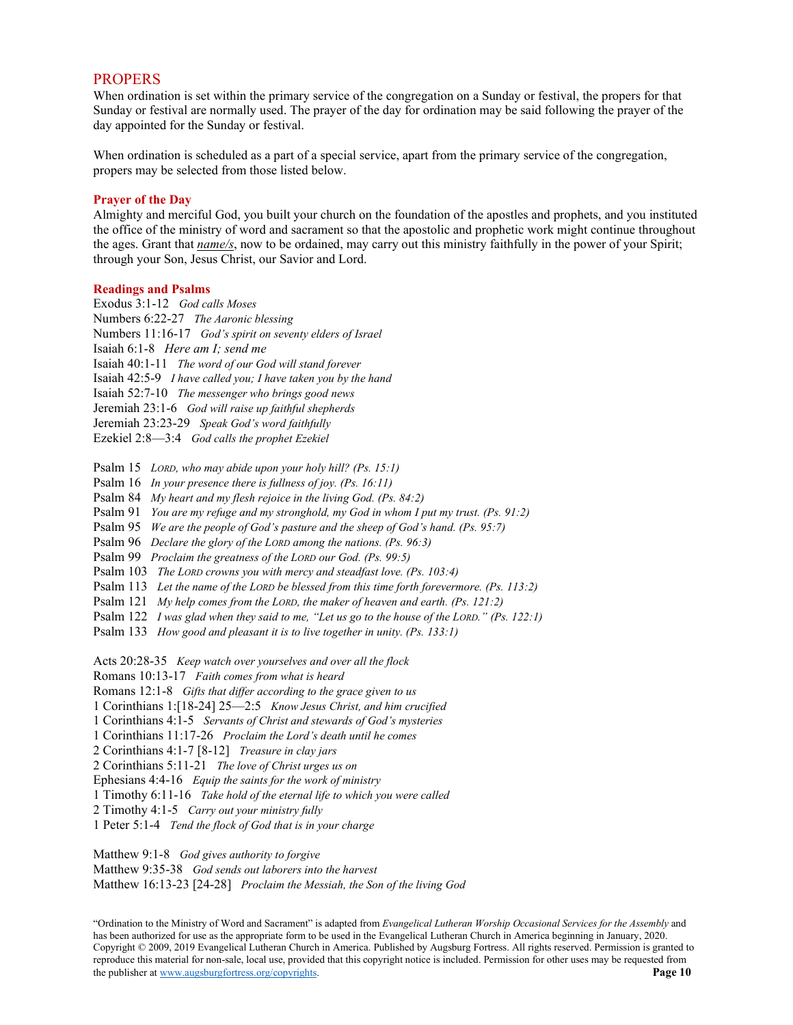### **PROPERS**

When ordination is set within the primary service of the congregation on a Sunday or festival, the propers for that Sunday or festival are normally used. The prayer of the day for ordination may be said following the prayer of the day appointed for the Sunday or festival.

When ordination is scheduled as a part of a special service, apart from the primary service of the congregation, propers may be selected from those listed below.

#### **Prayer of the Day**

Almighty and merciful God, you built your church on the foundation of the apostles and prophets, and you instituted the office of the ministry of word and sacrament so that the apostolic and prophetic work might continue throughout the ages. Grant that *name/s*, now to be ordained, may carry out this ministry faithfully in the power of your Spirit; through your Son, Jesus Christ, our Savior and Lord.

#### **Readings and Psalms**

- Exodus 3:1-12 *God calls Moses*
- Numbers 6:22-27 *The Aaronic blessing*
- Numbers 11:16-17 *God's spirit on seventy elders of Israel*
- Isaiah 6:1-8 *Here am I; send me*
- Isaiah 40:1-11 *The word of our God will stand forever*
- Isaiah 42:5-9 *I have called you; I have taken you by the hand*
- Isaiah 52:7-10 *The messenger who brings good news*
- Jeremiah 23:1-6 *God will raise up faithful shepherds*
- Jeremiah 23:23-29 *Speak God's word faithfully*
- Ezekiel 2:8—3:4 *God calls the prophet Ezekiel*

Psalm 15 *LORD, who may abide upon your holy hill? (Ps. 15:1)*

- Psalm 16 *In your presence there is fullness of joy. (Ps. 16:11)*
- Psalm 84 *My heart and my flesh rejoice in the living God. (Ps. 84:2)*
- Psalm 91 *You are my refuge and my stronghold, my God in whom I put my trust. (Ps. 91:2)*
- Psalm 95 *We are the people of God's pasture and the sheep of God's hand. (Ps. 95:7)*
- Psalm 96 *Declare the glory of the LORD among the nations. (Ps. 96:3)*
- Psalm 99 *Proclaim the greatness of the LORD our God. (Ps. 99:5)*
- Psalm 103 *The LORD crowns you with mercy and steadfast love. (Ps. 103:4)*
- Psalm 113 *Let the name of the LORD be blessed from this time forth forevermore. (Ps. 113:2)*
- Psalm 121 *My help comes from the LORD, the maker of heaven and earth. (Ps. 121:2)*
- Psalm 122 *I was glad when they said to me, "Let us go to the house of the LORD." (Ps. 122:1)*
- Psalm 133 *How good and pleasant it is to live together in unity. (Ps. 133:1)*

Acts 20:28-35 *Keep watch over yourselves and over all the flock*

Romans 10:13-17 *Faith comes from what is heard*

Romans 12:1-8 *Gifts that differ according to the grace given to us*

- 1 Corinthians 1:[18-24] 25—2:5 *Know Jesus Christ, and him crucified*
- 1 Corinthians 4:1-5 *Servants of Christ and stewards of God's mysteries*
- 1 Corinthians 11:17-26 *Proclaim the Lord's death until he comes*
- 2 Corinthians 4:1-7 [8-12] *Treasure in clay jars*
- 2 Corinthians 5:11-21 *The love of Christ urges us on*
- Ephesians 4:4-16 *Equip the saints for the work of ministry*
- 1 Timothy 6:11-16 *Take hold of the eternal life to which you were called*
- 2 Timothy 4:1-5 *Carry out your ministry fully*
- 1 Peter 5:1-4 *Tend the flock of God that is in your charge*
- Matthew 9:1-8 *God gives authority to forgive*

Matthew 9:35-38 *God sends out laborers into the harvest*

Matthew 16:13-23 [24-28] *Proclaim the Messiah, the Son of the living God*

<sup>&</sup>quot;Ordination to the Ministry of Word and Sacrament" is adapted from *Evangelical Lutheran Worship Occasional Services for the Assembly* and has been authorized for use as the appropriate form to be used in the Evangelical Lutheran Church in America beginning in January, 2020. Copyright © 2009, 2019 Evangelical Lutheran Church in America. Published by Augsburg Fortress. All rights reserved. Permission is granted to reproduce this material for non-sale, local use, provided that this copyright notice is included. Permission for other uses may be requested from the publisher a[t www.augsburgfortress.org/copyrights.](http://www.augsburgfortress.org/copyrights) **Page 10**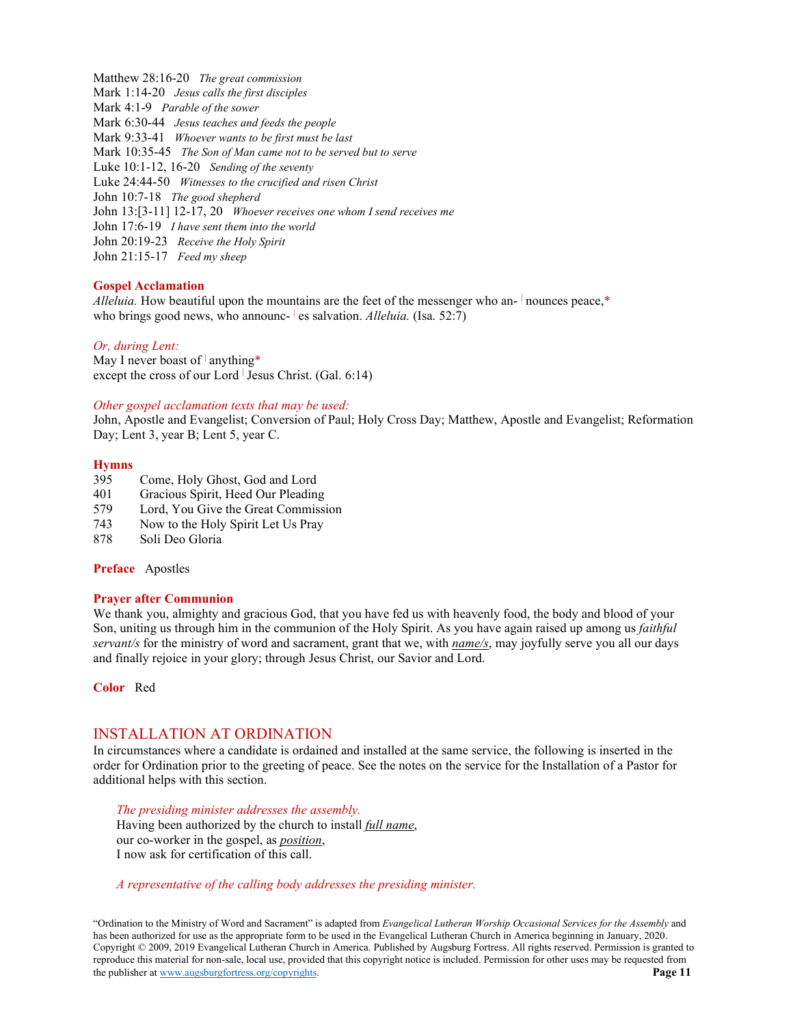Matthew 28:16-20 *The great commission* Mark 1:14-20 *Jesus calls the first disciples* Mark 4:1-9 *Parable of the sower* Mark 6:30-44 *Jesus teaches and feeds the people* Mark 9:33-41 *Whoever wants to be first must be last* Mark 10:35-45 *The Son of Man came not to be served but to serve* Luke 10:1-12, 16-20 *Sending of the seventy* Luke 24:44-50 *Witnesses to the crucified and risen Christ* John 10:7-18 *The good shepherd* John 13:[3-11] 12-17, 20 *Whoever receives one whom I send receives me* John 17:6-19 *I have sent them into the world* John 20:19-23 *Receive the Holy Spirit* John 21:15-17 *Feed my sheep*

#### **Gospel Acclamation**

*Alleluia.* How beautiful upon the mountains are the feet of the messenger who an- <sup>|</sup> nounces peace,\* who brings good news, who announc- es salvation. *Alleluia*. (Isa. 52:7)

#### *Or, during Lent:*

May I never boast of  $|$  anything\* except the cross of our Lord  $\vert$  Jesus Christ. (Gal. 6:14)

#### *Other gospel acclamation texts that may be used:*

John, Apostle and Evangelist; Conversion of Paul; Holy Cross Day; Matthew, Apostle and Evangelist; Reformation Day; Lent 3, year B; Lent 5, year C.

#### **Hymns**

- 395 Come, Holy Ghost, God and Lord
- 401 Gracious Spirit, Heed Our Pleading
- 579 Lord, You Give the Great Commission
- 743 Now to the Holy Spirit Let Us Pray
- 878 Soli Deo Gloria

#### **Preface** Apostles

#### **Prayer after Communion**

We thank you, almighty and gracious God, that you have fed us with heavenly food, the body and blood of your Son, uniting us through him in the communion of the Holy Spirit. As you have again raised up among us *faithful servant/s* for the ministry of word and sacrament, grant that we, with *name/s*, may joyfully serve you all our days and finally rejoice in your glory; through Jesus Christ, our Savior and Lord.

**Color** Red

### INSTALLATION AT ORDINATION

In circumstances where a candidate is ordained and installed at the same service, the following is inserted in the order for Ordination prior to the greeting of peace. See the notes on the service for the Installation of a Pastor for additional helps with this section.

*The presiding minister addresses the assembly.* Having been authorized by the church to install *full name*, our co-worker in the gospel, as *position*, I now ask for certification of this call.

#### *A representative of the calling body addresses the presiding minister.*